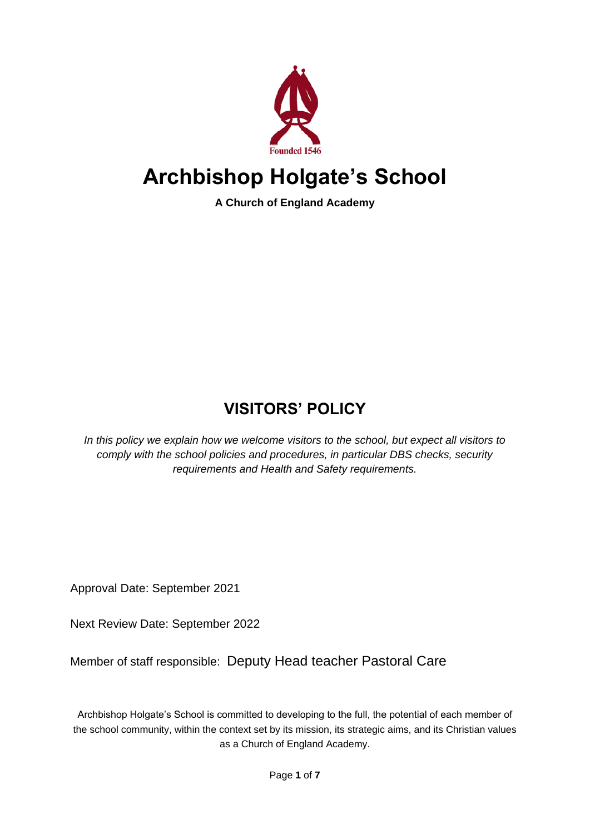

# **Archbishop Holgate's School**

**A Church of England Academy**

# **VISITORS' POLICY**

*In this policy we explain how we welcome visitors to the school, but expect all visitors to comply with the school policies and procedures, in particular DBS checks, security requirements and Health and Safety requirements.*

Approval Date: September 2021

Next Review Date: September 2022

Member of staff responsible: Deputy Head teacher Pastoral Care

Archbishop Holgate's School is committed to developing to the full, the potential of each member of the school community, within the context set by its mission, its strategic aims, and its Christian values as a Church of England Academy.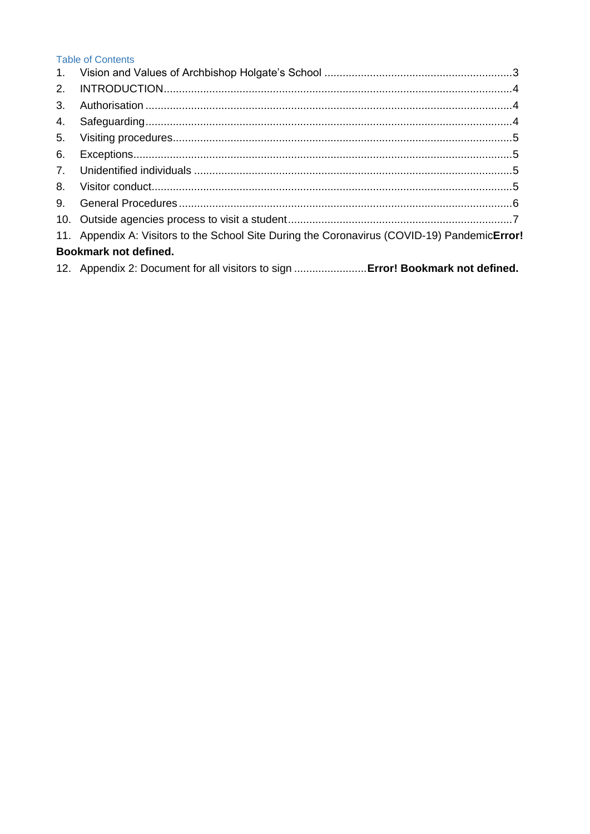# **Table of Contents**

| 1.                    |                                                                                              |  |
|-----------------------|----------------------------------------------------------------------------------------------|--|
| 2.                    |                                                                                              |  |
| 3.                    |                                                                                              |  |
| 4.                    |                                                                                              |  |
| 5.                    |                                                                                              |  |
| 6.                    |                                                                                              |  |
| $7_{\ldots}$          |                                                                                              |  |
| 8.                    |                                                                                              |  |
| 9.                    |                                                                                              |  |
|                       |                                                                                              |  |
|                       | 11. Appendix A: Visitors to the School Site During the Coronavirus (COVID-19) PandemicError! |  |
| Bookmark not defined. |                                                                                              |  |
|                       | 12. Appendix 2: Document for all visitors to sign  Error! Bookmark not defined.              |  |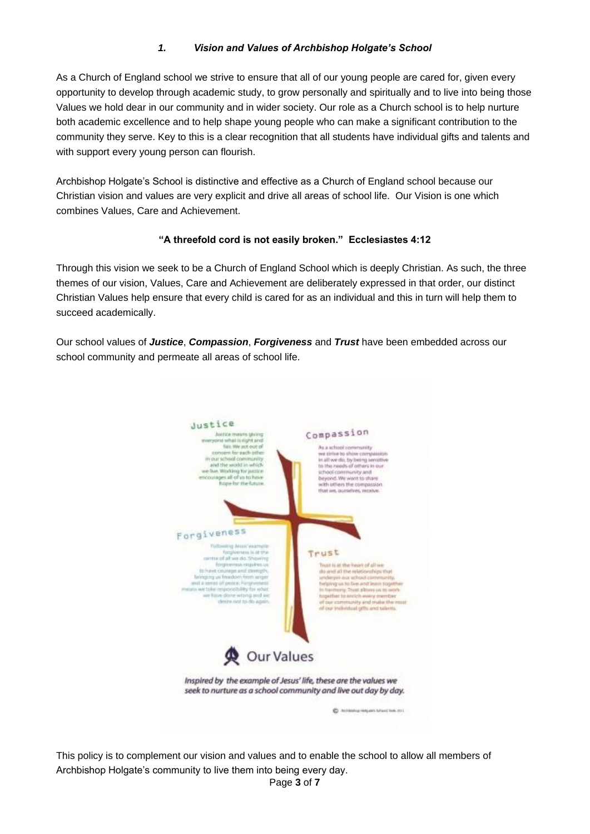# *1. Vision and Values of Archbishop Holgate's School*

<span id="page-2-0"></span>As a Church of England school we strive to ensure that all of our young people are cared for, given every opportunity to develop through academic study, to grow personally and spiritually and to live into being those Values we hold dear in our community and in wider society. Our role as a Church school is to help nurture both academic excellence and to help shape young people who can make a significant contribution to the community they serve. Key to this is a clear recognition that all students have individual gifts and talents and with support every young person can flourish.

Archbishop Holgate's School is distinctive and effective as a Church of England school because our Christian vision and values are very explicit and drive all areas of school life. Our Vision is one which combines Values, Care and Achievement.

#### **"A threefold cord is not easily broken." Ecclesiastes 4:12**

Through this vision we seek to be a Church of England School which is deeply Christian. As such, the three themes of our vision, Values, Care and Achievement are deliberately expressed in that order, our distinct Christian Values help ensure that every child is cared for as an individual and this in turn will help them to succeed academically.

Our school values of *Justice*, *Compassion*, *Forgiveness* and *Trust* have been embedded across our school community and permeate all areas of school life.



This policy is to complement our vision and values and to enable the school to allow all members of Archbishop Holgate's community to live them into being every day.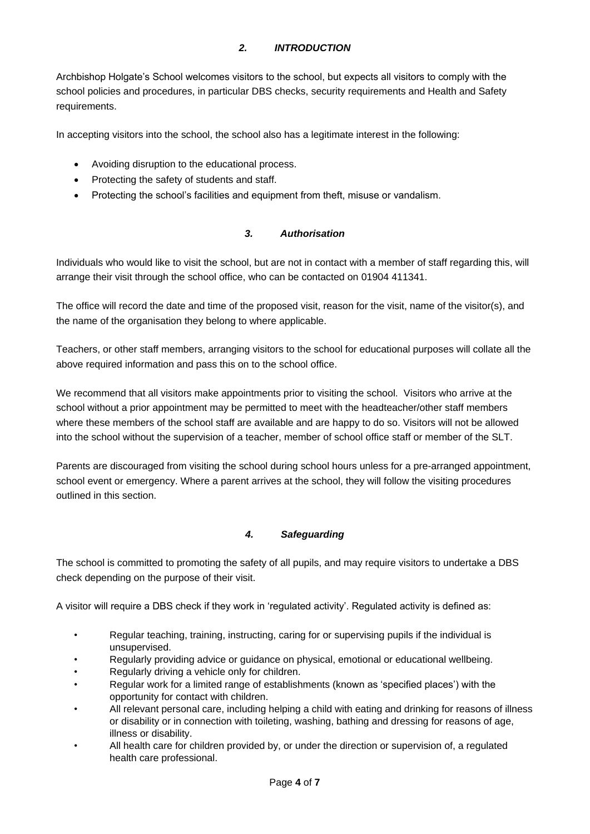## *2. INTRODUCTION*

<span id="page-3-0"></span>Archbishop Holgate's School welcomes visitors to the school, but expects all visitors to comply with the school policies and procedures, in particular DBS checks, security requirements and Health and Safety requirements.

In accepting visitors into the school, the school also has a legitimate interest in the following:

- Avoiding disruption to the educational process.
- Protecting the safety of students and staff.
- <span id="page-3-1"></span>• Protecting the school's facilities and equipment from theft, misuse or vandalism.

#### *3. Authorisation*

Individuals who would like to visit the school, but are not in contact with a member of staff regarding this, will arrange their visit through the school office, who can be contacted on 01904 411341.

The office will record the date and time of the proposed visit, reason for the visit, name of the visitor(s), and the name of the organisation they belong to where applicable.

Teachers, or other staff members, arranging visitors to the school for educational purposes will collate all the above required information and pass this on to the school office.

We recommend that all visitors make appointments prior to visiting the school. Visitors who arrive at the school without a prior appointment may be permitted to meet with the headteacher/other staff members where these members of the school staff are available and are happy to do so. Visitors will not be allowed into the school without the supervision of a teacher, member of school office staff or member of the SLT.

Parents are discouraged from visiting the school during school hours unless for a pre-arranged appointment, school event or emergency. Where a parent arrives at the school, they will follow the visiting procedures outlined in this section.

#### *4. Safeguarding*

<span id="page-3-2"></span>The school is committed to promoting the safety of all pupils, and may require visitors to undertake a DBS check depending on the purpose of their visit.

A visitor will require a DBS check if they work in 'regulated activity'. Regulated activity is defined as:

- Regular teaching, training, instructing, caring for or supervising pupils if the individual is unsupervised.
- Regularly providing advice or guidance on physical, emotional or educational wellbeing.
- Regularly driving a vehicle only for children.
- Regular work for a limited range of establishments (known as 'specified places') with the opportunity for contact with children.
- All relevant personal care, including helping a child with eating and drinking for reasons of illness or disability or in connection with toileting, washing, bathing and dressing for reasons of age, illness or disability.
- All health care for children provided by, or under the direction or supervision of, a regulated health care professional.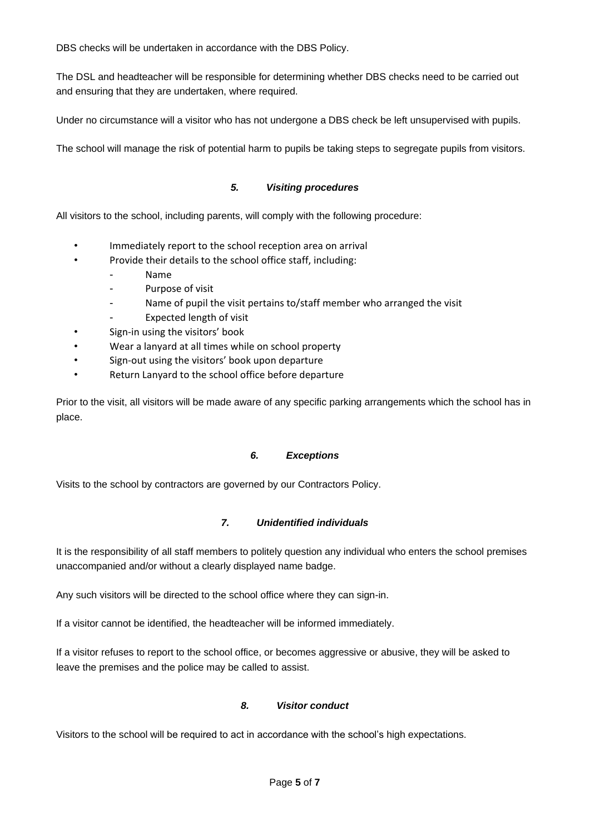DBS checks will be undertaken in accordance with the DBS Policy.

The DSL and headteacher will be responsible for determining whether DBS checks need to be carried out and ensuring that they are undertaken, where required.

Under no circumstance will a visitor who has not undergone a DBS check be left unsupervised with pupils.

<span id="page-4-0"></span>The school will manage the risk of potential harm to pupils be taking steps to segregate pupils from visitors.

#### *5. Visiting procedures*

All visitors to the school, including parents, will comply with the following procedure:

- Immediately report to the school reception area on arrival
- Provide their details to the school office staff, including:
	- Name
		- Purpose of visit
		- Name of pupil the visit pertains to/staff member who arranged the visit
	- Expected length of visit
- Sign-in using the visitors' book
- Wear a lanyard at all times while on school property
- Sign-out using the visitors' book upon departure
- Return Lanyard to the school office before departure

Prior to the visit, all visitors will be made aware of any specific parking arrangements which the school has in place.

#### *6. Exceptions*

<span id="page-4-2"></span><span id="page-4-1"></span>Visits to the school by contractors are governed by our Contractors Policy.

#### *7. Unidentified individuals*

It is the responsibility of all staff members to politely question any individual who enters the school premises unaccompanied and/or without a clearly displayed name badge.

Any such visitors will be directed to the school office where they can sign-in.

If a visitor cannot be identified, the headteacher will be informed immediately.

If a visitor refuses to report to the school office, or becomes aggressive or abusive, they will be asked to leave the premises and the police may be called to assist.

#### *8. Visitor conduct*

<span id="page-4-3"></span>Visitors to the school will be required to act in accordance with the school's high expectations.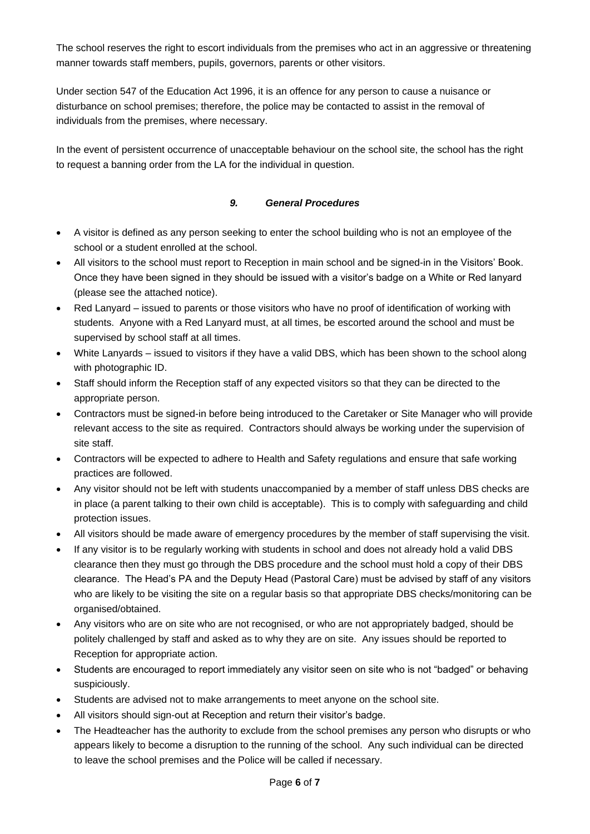The school reserves the right to escort individuals from the premises who act in an aggressive or threatening manner towards staff members, pupils, governors, parents or other visitors.

Under section 547 of the Education Act 1996, it is an offence for any person to cause a nuisance or disturbance on school premises; therefore, the police may be contacted to assist in the removal of individuals from the premises, where necessary.

In the event of persistent occurrence of unacceptable behaviour on the school site, the school has the right to request a banning order from the LA for the individual in question.

### *9. General Procedures*

- <span id="page-5-0"></span>• A visitor is defined as any person seeking to enter the school building who is not an employee of the school or a student enrolled at the school.
- All visitors to the school must report to Reception in main school and be signed-in in the Visitors' Book. Once they have been signed in they should be issued with a visitor's badge on a White or Red lanyard (please see the attached notice).
- Red Lanyard issued to parents or those visitors who have no proof of identification of working with students. Anyone with a Red Lanyard must, at all times, be escorted around the school and must be supervised by school staff at all times.
- White Lanyards issued to visitors if they have a valid DBS, which has been shown to the school along with photographic ID.
- Staff should inform the Reception staff of any expected visitors so that they can be directed to the appropriate person.
- Contractors must be signed-in before being introduced to the Caretaker or Site Manager who will provide relevant access to the site as required. Contractors should always be working under the supervision of site staff.
- Contractors will be expected to adhere to Health and Safety regulations and ensure that safe working practices are followed.
- Any visitor should not be left with students unaccompanied by a member of staff unless DBS checks are in place (a parent talking to their own child is acceptable). This is to comply with safeguarding and child protection issues.
- All visitors should be made aware of emergency procedures by the member of staff supervising the visit.
- If any visitor is to be regularly working with students in school and does not already hold a valid DBS clearance then they must go through the DBS procedure and the school must hold a copy of their DBS clearance. The Head's PA and the Deputy Head (Pastoral Care) must be advised by staff of any visitors who are likely to be visiting the site on a regular basis so that appropriate DBS checks/monitoring can be organised/obtained.
- Any visitors who are on site who are not recognised, or who are not appropriately badged, should be politely challenged by staff and asked as to why they are on site. Any issues should be reported to Reception for appropriate action.
- Students are encouraged to report immediately any visitor seen on site who is not "badged" or behaving suspiciously.
- Students are advised not to make arrangements to meet anyone on the school site.
- All visitors should sign-out at Reception and return their visitor's badge.
- The Headteacher has the authority to exclude from the school premises any person who disrupts or who appears likely to become a disruption to the running of the school. Any such individual can be directed to leave the school premises and the Police will be called if necessary.